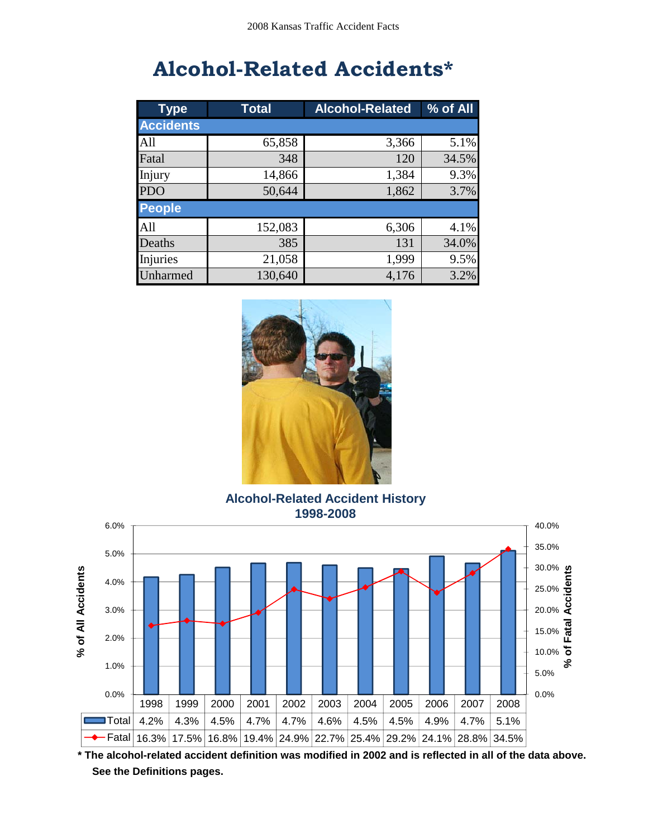# **Alcohol-Related Accidents\***

| <b>Type</b>      | <b>Total</b> | <b>Alcohol-Related</b> | % of All |
|------------------|--------------|------------------------|----------|
| <b>Accidents</b> |              |                        |          |
| All              | 65,858       | 3,366                  | 5.1%     |
| Fatal            | 348          | 120                    | 34.5%    |
| Injury           | 14,866       | 1,384                  | 9.3%     |
| <b>PDO</b>       | 50,644       | 1,862                  | 3.7%     |
| <b>People</b>    |              |                        |          |
| All              | 152,083      | 6,306                  | 4.1%     |
| Deaths           | 385          | 131                    | 34.0%    |
| Injuries         | 21,058       | 1,999                  | 9.5%     |
| Unharmed         | 130,640      | 4,176                  | 3.2%     |



**Alcohol-Related Accident History 1998-2008**



**\* The alcohol-related accident definition was modified in 2002 and is reflected in all of the data above. See the Definitions pages.**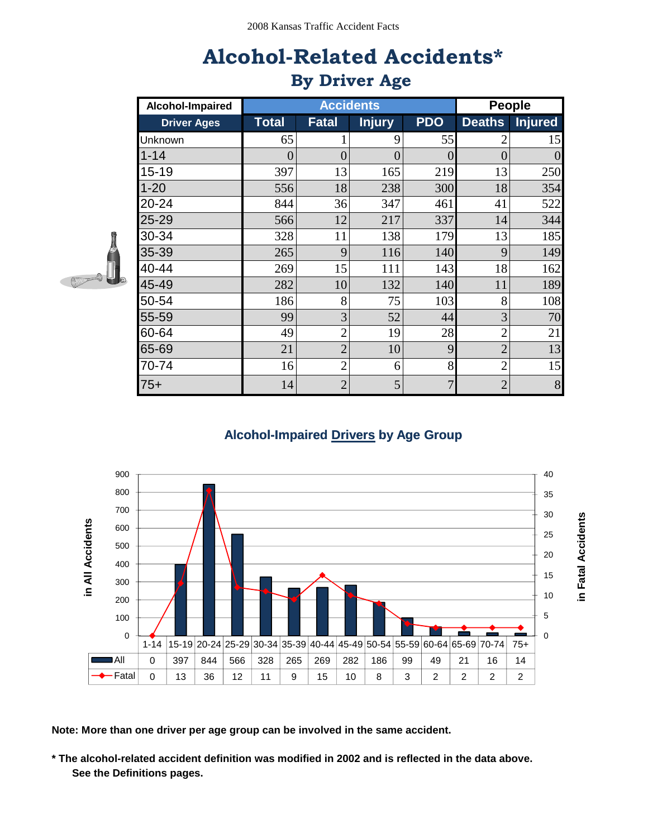# **Alcohol-Related Accidents\* By Driver Age**

| Alcohol-Impaired   |          | <b>Accidents</b> |                |            |                | People         |
|--------------------|----------|------------------|----------------|------------|----------------|----------------|
| <b>Driver Ages</b> | Total    | Fatal            | <b>Injury</b>  | <b>PDO</b> | <b>Deaths</b>  | <b>Injured</b> |
| Unknown            | 65       | $\mathbf{1}$     | 9              | 55         | $\overline{2}$ | 15             |
| $1 - 14$           | $\theta$ | $\overline{0}$   | $\overline{0}$ | $\Omega$   | $\overline{0}$ | $\overline{0}$ |
| $15 - 19$          | 397      | 13               | 165            | 219        | 13             | 250            |
| $1 - 20$           | 556      | 18               | 238            | 300        | 18             | 354            |
| 20-24              | 844      | 36               | 347            | 461        | 41             | 522            |
| 25-29              | 566      | 12               | 217            | 337        | 14             | 344            |
| 30-34              | 328      | 11               | 138            | 179        | 13             | 185            |
| 35-39              | 265      | 9                | 116            | 140        | 9              | 149            |
| 40-44              | 269      | 15               | 111            | 143        | 18             | 162            |
| 45-49              | 282      | 10               | 132            | 140        | 11             | 189            |
| 50-54              | 186      | 8                | 75             | 103        | 8              | 108            |
| 55-59              | 99       | 3                | 52             | 44         | 3              | 70             |
| 60-64              | 49       | $\overline{c}$   | 19             | 28         | $\overline{2}$ | 21             |
| 65-69              | 21       | $\overline{2}$   | 10             | 9          | $\overline{2}$ | 13             |
| 70-74              | 16       | $\overline{2}$   | 6              | 8          | $\overline{2}$ | 15             |
| $75+$              | 14       | $\overline{2}$   | 5              | 7          | $\overline{2}$ | $8\,$          |



#### **Alcohol-Impaired Drivers by Age Group**



**Note: More than one driver per age group can be involved in the same accident.**

 **See the Definitions pages. \* The alcohol-related accident definition was modified in 2002 and is reflected in the data above.**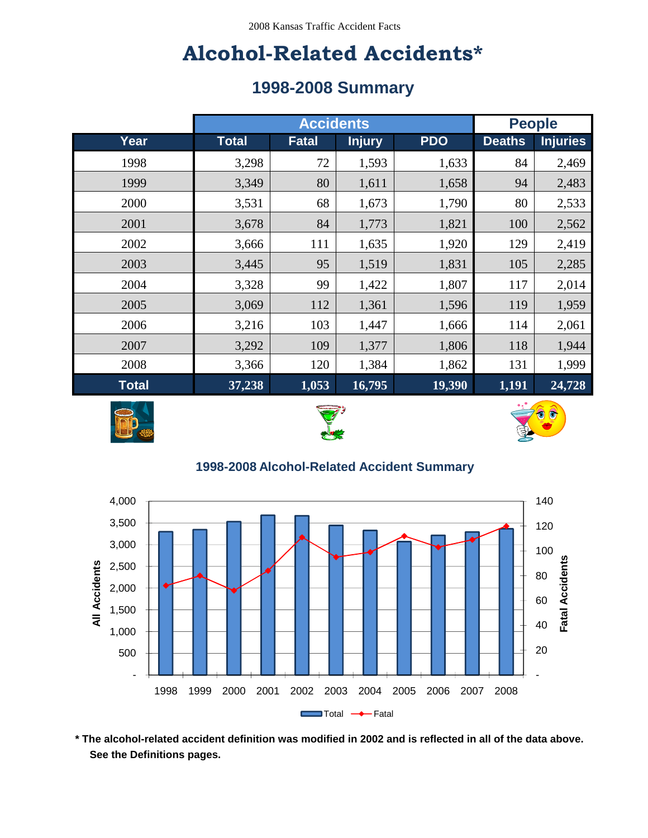## **Alcohol-Related Accidents\***

### **1998-2008 Summary**

|              | <b>Accidents</b> |              |               | <b>People</b> |               |                 |
|--------------|------------------|--------------|---------------|---------------|---------------|-----------------|
| Year         | <b>Total</b>     | <b>Fatal</b> | <b>Injury</b> | <b>PDO</b>    | <b>Deaths</b> | <b>Injuries</b> |
| 1998         | 3,298            | 72           | 1,593         | 1,633         | 84            | 2,469           |
| 1999         | 3,349            | 80           | 1,611         | 1,658         | 94            | 2,483           |
| 2000         | 3,531            | 68           | 1,673         | 1,790         | 80            | 2,533           |
| 2001         | 3,678            | 84           | 1,773         | 1,821         | 100           | 2,562           |
| 2002         | 3,666            | 111          | 1,635         | 1,920         | 129           | 2,419           |
| 2003         | 3,445            | 95           | 1,519         | 1,831         | 105           | 2,285           |
| 2004         | 3,328            | 99           | 1,422         | 1,807         | 117           | 2,014           |
| 2005         | 3,069            | 112          | 1,361         | 1,596         | 119           | 1,959           |
| 2006         | 3,216            | 103          | 1,447         | 1,666         | 114           | 2,061           |
| 2007         | 3,292            | 109          | 1,377         | 1,806         | 118           | 1,944           |
| 2008         | 3,366            | 120          | 1,384         | 1,862         | 131           | 1,999           |
| <b>Total</b> | 37,238           | 1,053        | 16,795        | 19,390        | 1,191         | 24,728          |







#### **1998-2008 Alcohol-Related Accident Summary**



 **See the Definitions pages. \* The alcohol-related accident definition was modified in 2002 and is reflected in all of the data above.**